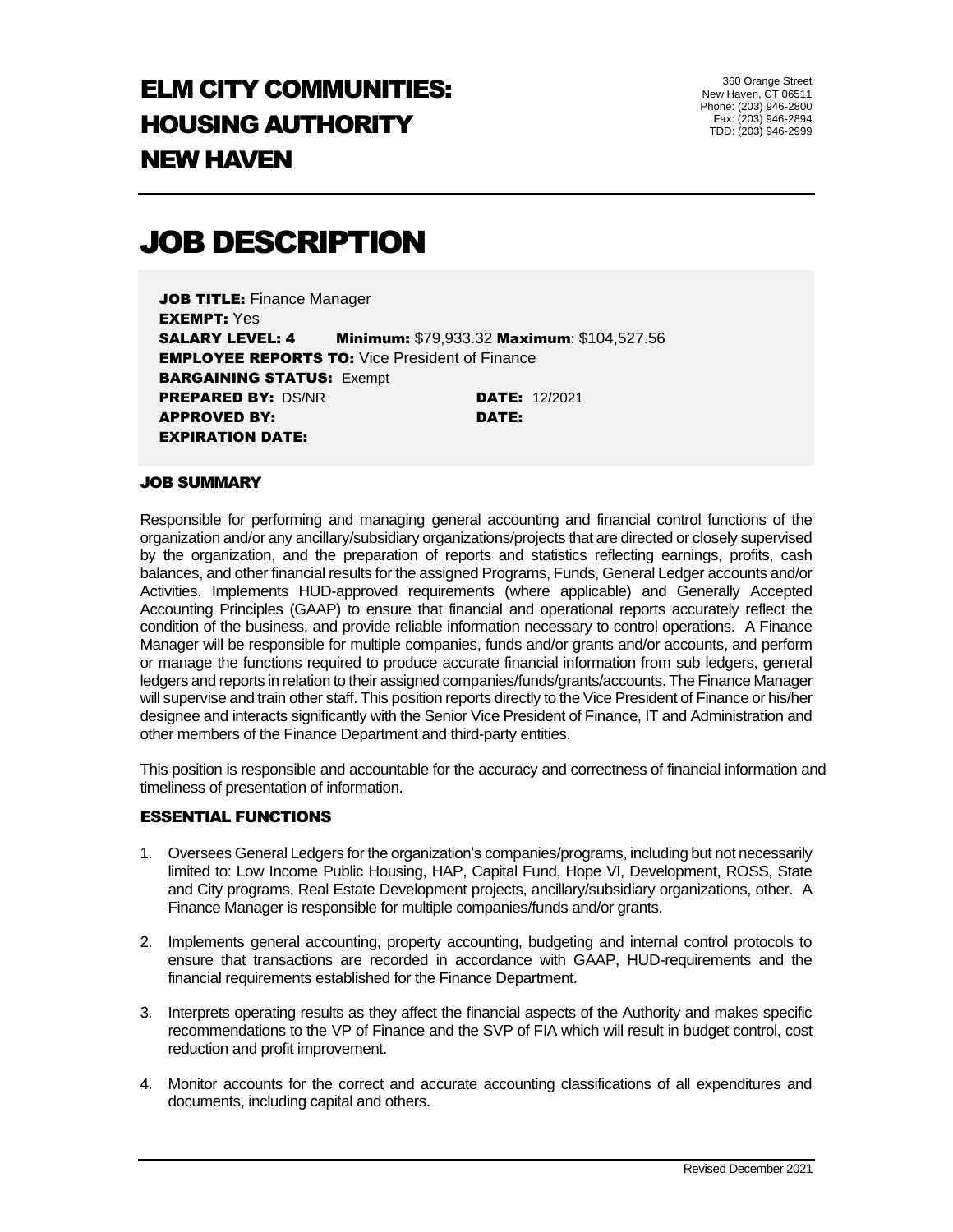## ELM CITY COMMUNITIES: HOUSING AUTHORITY NEW HAVEN

360 Orange Street New Haven, CT 06511 Phone: (203) 946-2800 Fax: (203) 946-2894 TDD: (203) 946-2999

# JOB DESCRIPTION

**JOB TITLE: Finance Manager** EXEMPT: Yes SALARY LEVEL: 4 Minimum: \$79,933.32 Maximum: \$104,527.56 **EMPLOYEE REPORTS TO: Vice President of Finance BARGAINING STATUS: Exempt PREPARED BY: DS/NR DATE: 12/2021** APPROVED BY: DATE: EXPIRATION DATE:

## JOB SUMMARY

Responsible for performing and managing general accounting and financial control functions of the organization and/or any ancillary/subsidiary organizations/projects that are directed or closely supervised by the organization, and the preparation of reports and statistics reflecting earnings, profits, cash balances, and other financial results for the assigned Programs, Funds, General Ledger accounts and/or Activities. Implements HUD-approved requirements (where applicable) and Generally Accepted Accounting Principles (GAAP) to ensure that financial and operational reports accurately reflect the condition of the business, and provide reliable information necessary to control operations. A Finance Manager will be responsible for multiple companies, funds and/or grants and/or accounts, and perform or manage the functions required to produce accurate financial information from sub ledgers, general ledgers and reports in relation to their assigned companies/funds/grants/accounts. The Finance Manager will supervise and train other staff. This position reports directly to the Vice President of Finance or his/her designee and interacts significantly with the Senior Vice President of Finance, IT and Administration and other members of the Finance Department and third-party entities.

This position is responsible and accountable for the accuracy and correctness of financial information and timeliness of presentation of information.

## ESSENTIAL FUNCTIONS

- 1. Oversees General Ledgers for the organization's companies/programs, including but not necessarily limited to: Low Income Public Housing, HAP, Capital Fund, Hope VI, Development, ROSS, State and City programs, Real Estate Development projects, ancillary/subsidiary organizations, other. A Finance Manager is responsible for multiple companies/funds and/or grants.
- 2. Implements general accounting, property accounting, budgeting and internal control protocols to ensure that transactions are recorded in accordance with GAAP, HUD-requirements and the financial requirements established for the Finance Department.
- 3. Interprets operating results as they affect the financial aspects of the Authority and makes specific recommendations to the VP of Finance and the SVP of FIA which will result in budget control, cost reduction and profit improvement.
- 4. Monitor accounts for the correct and accurate accounting classifications of all expenditures and documents, including capital and others.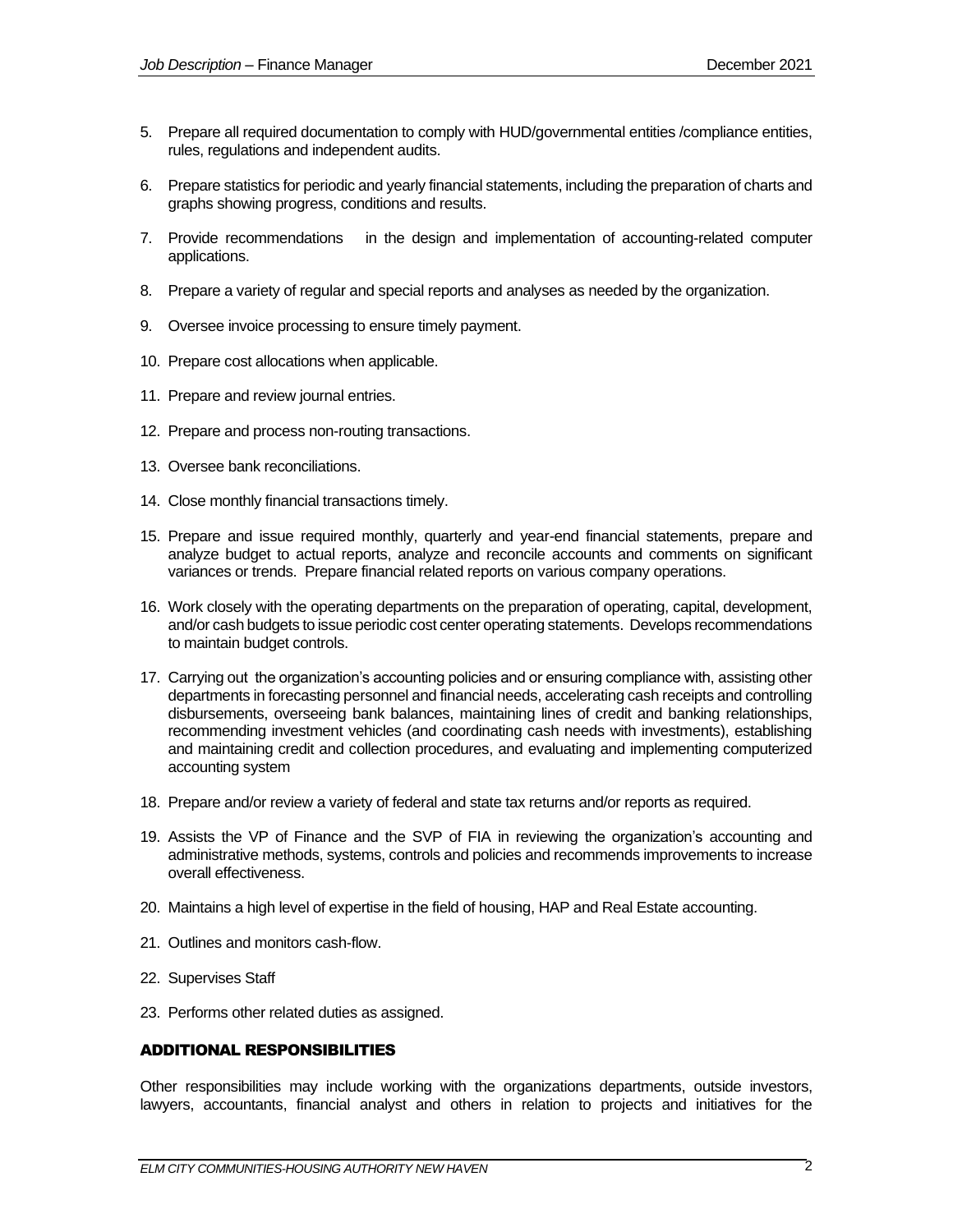- 5. Prepare all required documentation to comply with HUD/governmental entities /compliance entities, rules, regulations and independent audits.
- 6. Prepare statistics for periodic and yearly financial statements, including the preparation of charts and graphs showing progress, conditions and results.
- 7. Provide recommendations in the design and implementation of accounting-related computer applications.
- 8. Prepare a variety of regular and special reports and analyses as needed by the organization.
- 9. Oversee invoice processing to ensure timely payment.
- 10. Prepare cost allocations when applicable.
- 11. Prepare and review journal entries.
- 12. Prepare and process non-routing transactions.
- 13. Oversee bank reconciliations.
- 14. Close monthly financial transactions timely.
- 15. Prepare and issue required monthly, quarterly and year-end financial statements, prepare and analyze budget to actual reports, analyze and reconcile accounts and comments on significant variances or trends. Prepare financial related reports on various company operations.
- 16. Work closely with the operating departments on the preparation of operating, capital, development, and/or cash budgets to issue periodic cost center operating statements. Develops recommendations to maintain budget controls.
- 17. Carrying out the organization's accounting policies and or ensuring compliance with, assisting other departments in forecasting personnel and financial needs, accelerating cash receipts and controlling disbursements, overseeing bank balances, maintaining lines of credit and banking relationships, recommending investment vehicles (and coordinating cash needs with investments), establishing and maintaining credit and collection procedures, and evaluating and implementing computerized accounting system
- 18. Prepare and/or review a variety of federal and state tax returns and/or reports as required.
- 19. Assists the VP of Finance and the SVP of FIA in reviewing the organization's accounting and administrative methods, systems, controls and policies and recommends improvements to increase overall effectiveness.
- 20. Maintains a high level of expertise in the field of housing, HAP and Real Estate accounting.
- 21. Outlines and monitors cash-flow.
- 22. Supervises Staff
- 23. Performs other related duties as assigned.

#### ADDITIONAL RESPONSIBILITIES

Other responsibilities may include working with the organizations departments, outside investors, lawyers, accountants, financial analyst and others in relation to projects and initiatives for the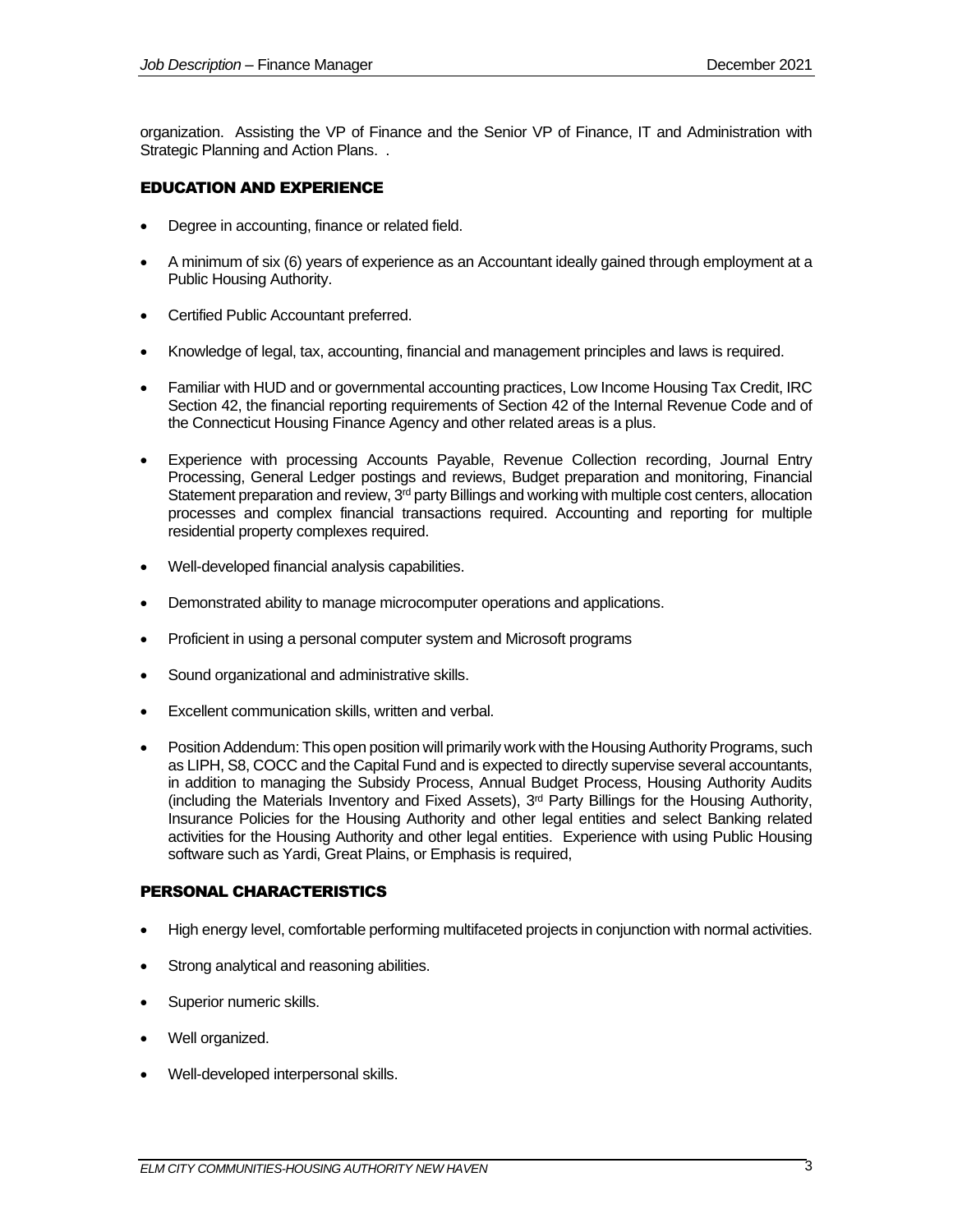organization. Assisting the VP of Finance and the Senior VP of Finance, IT and Administration with Strategic Planning and Action Plans. .

## EDUCATION AND EXPERIENCE

- Degree in accounting, finance or related field.
- A minimum of six (6) years of experience as an Accountant ideally gained through employment at a Public Housing Authority.
- Certified Public Accountant preferred.
- Knowledge of legal, tax, accounting, financial and management principles and laws is required.
- Familiar with HUD and or governmental accounting practices, Low Income Housing Tax Credit, IRC Section 42, the financial reporting requirements of Section 42 of the Internal Revenue Code and of the Connecticut Housing Finance Agency and other related areas is a plus.
- Experience with processing Accounts Payable, Revenue Collection recording, Journal Entry Processing, General Ledger postings and reviews, Budget preparation and monitoring, Financial Statement preparation and review,  $3<sup>rd</sup>$  party Billings and working with multiple cost centers, allocation processes and complex financial transactions required. Accounting and reporting for multiple residential property complexes required.
- Well-developed financial analysis capabilities.
- Demonstrated ability to manage microcomputer operations and applications.
- Proficient in using a personal computer system and Microsoft programs
- Sound organizational and administrative skills.
- Excellent communication skills, written and verbal.
- Position Addendum: This open position will primarily work with the Housing Authority Programs, such as LIPH, S8, COCC and the Capital Fund and is expected to directly supervise several accountants, in addition to managing the Subsidy Process, Annual Budget Process, Housing Authority Audits (including the Materials Inventory and Fixed Assets), 3rd Party Billings for the Housing Authority, Insurance Policies for the Housing Authority and other legal entities and select Banking related activities for the Housing Authority and other legal entities. Experience with using Public Housing software such as Yardi, Great Plains, or Emphasis is required,

#### PERSONAL CHARACTERISTICS

- High energy level, comfortable performing multifaceted projects in conjunction with normal activities.
- Strong analytical and reasoning abilities.
- Superior numeric skills.
- Well organized.
- Well-developed interpersonal skills.